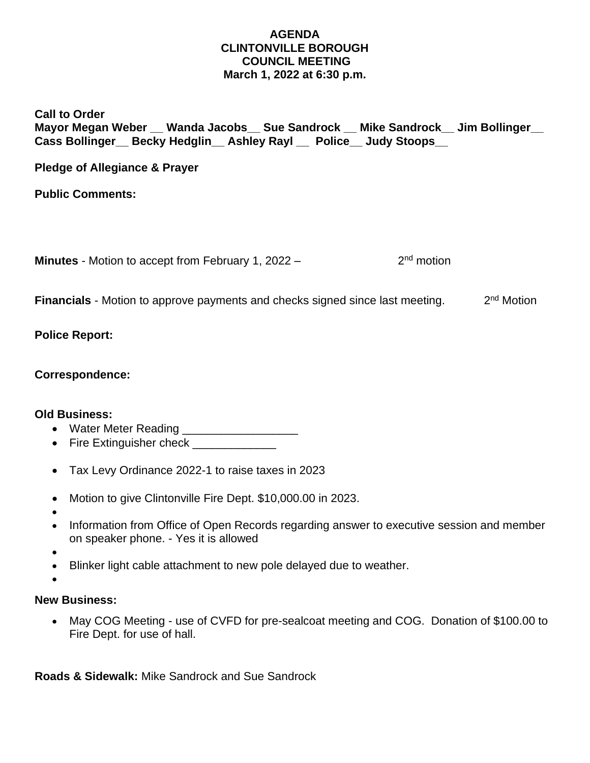### **AGENDA CLINTONVILLE BOROUGH COUNCIL MEETING March 1, 2022 at 6:30 p.m.**

## **Call to Order Mayor Megan Weber \_\_ Wanda Jacobs\_\_ Sue Sandrock \_\_ Mike Sandrock\_\_ Jim Bollinger\_\_ Cass Bollinger\_\_ Becky Hedglin\_\_ Ashley Rayl \_\_ Police\_\_ Judy Stoops\_\_**

**Pledge of Allegiance & Prayer**

**Public Comments:**

**Minutes** - Motion to accept from February 1, 2022 – 2  $2<sup>nd</sup>$  motion

**Financials** - Motion to approve payments and checks signed since last meeting. 2 2<sup>nd</sup> Motion

# **Police Report:**

### **Correspondence:**

### **Old Business:**

- Water Meter Reading \_\_\_\_\_\_\_\_\_\_\_\_\_\_\_\_\_\_\_\_\_
- Fire Extinguisher check
- Tax Levy Ordinance 2022-1 to raise taxes in 2023
- Motion to give Clintonville Fire Dept. \$10,000.00 in 2023.
- •
- Information from Office of Open Records regarding answer to executive session and member on speaker phone. - Yes it is allowed
- •
- Blinker light cable attachment to new pole delayed due to weather.
- •

# **New Business:**

• May COG Meeting - use of CVFD for pre-sealcoat meeting and COG. Donation of \$100.00 to Fire Dept. for use of hall.

**Roads & Sidewalk:** Mike Sandrock and Sue Sandrock